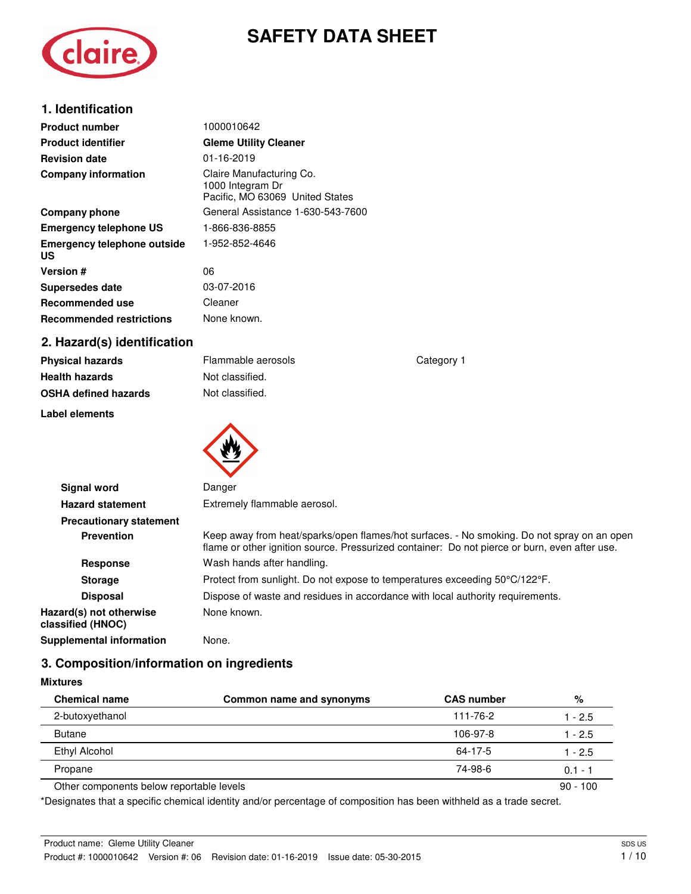## **SAFETY DATA SHEET**



| <b>Product number</b>                    | 1000010642                                                                      |
|------------------------------------------|---------------------------------------------------------------------------------|
| <b>Product identifier</b>                | <b>Gleme Utility Cleaner</b>                                                    |
| <b>Revision date</b>                     | 01-16-2019                                                                      |
| <b>Company information</b>               | Claire Manufacturing Co.<br>1000 Integram Dr<br>Pacific, MO 63069 United States |
| Company phone                            | General Assistance 1-630-543-7600                                               |
| <b>Emergency telephone US</b>            | 1-866-836-8855                                                                  |
| <b>Emergency telephone outside</b><br>US | 1-952-852-4646                                                                  |
| <b>Version #</b>                         | 06                                                                              |
| <b>Supersedes date</b>                   | 03-07-2016                                                                      |
| <b>Recommended use</b>                   | Cleaner                                                                         |
| <b>Recommended restrictions</b>          | None known.                                                                     |
| 2. Hazard(s) identification              |                                                                                 |

## **2. Hazard(s) identification**

| <b>Physical hazards</b>     |  |
|-----------------------------|--|
| <b>Health hazards</b>       |  |
| <b>OSHA defined hazards</b> |  |

**Label elements** 

**Mixtures** 

**Physical hazards Physical hazards Physical category 1 Not classified. Not classified.** 



| <b>Signal word</b>                           | Danger                                                                                                                                                                                      |  |  |
|----------------------------------------------|---------------------------------------------------------------------------------------------------------------------------------------------------------------------------------------------|--|--|
| <b>Hazard statement</b>                      | Extremely flammable aerosol.                                                                                                                                                                |  |  |
| <b>Precautionary statement</b>               |                                                                                                                                                                                             |  |  |
| <b>Prevention</b>                            | Keep away from heat/sparks/open flames/hot surfaces. - No smoking. Do not spray on an open<br>flame or other ignition source. Pressurized container: Do not pierce or burn, even after use. |  |  |
| <b>Response</b>                              | Wash hands after handling.                                                                                                                                                                  |  |  |
| <b>Storage</b>                               | Protect from sunlight. Do not expose to temperatures exceeding 50°C/122°F.                                                                                                                  |  |  |
| <b>Disposal</b>                              | Dispose of waste and residues in accordance with local authority requirements.                                                                                                              |  |  |
| Hazard(s) not otherwise<br>classified (HNOC) | None known.                                                                                                                                                                                 |  |  |
| Supplemental information                     | None.                                                                                                                                                                                       |  |  |

## **3. Composition/information on ingredients**

| <b>Chemical name</b>                     | Common name and synonyms | <b>CAS number</b> | %          |
|------------------------------------------|--------------------------|-------------------|------------|
| 2-butoxyethanol                          |                          | 111-76-2          | 1 - 2.5    |
| <b>Butane</b>                            |                          | 106-97-8          | 1 - 2.5    |
| Ethyl Alcohol                            |                          | 64-17-5           | 1 - 2.5    |
| Propane                                  |                          | 74-98-6           | $0.1 - 1$  |
| Other components below reportable levels |                          |                   | $90 - 100$ |

\*Designates that a specific chemical identity and/or percentage of composition has been withheld as a trade secret.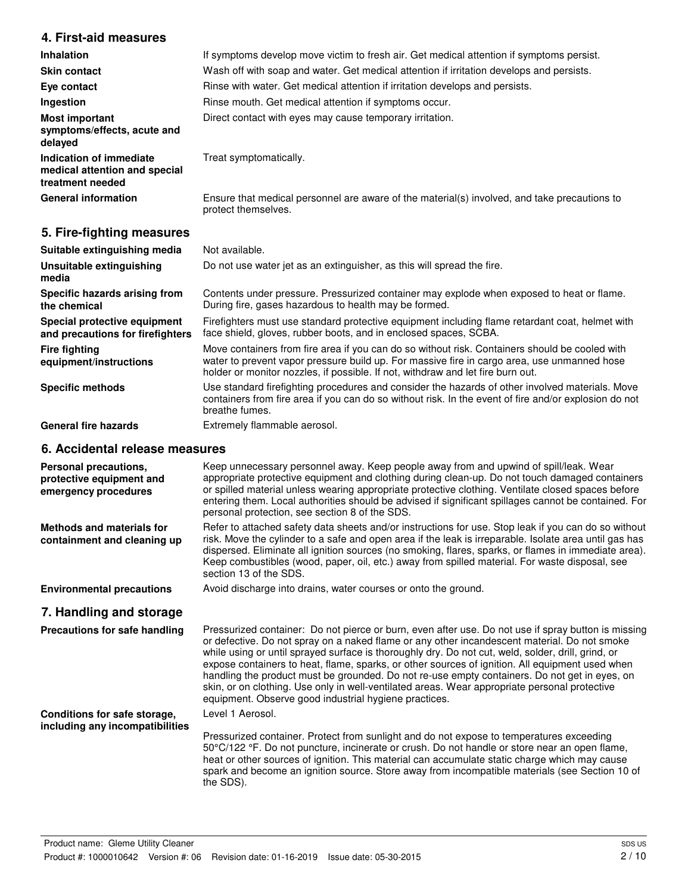## **4. First-aid measures**

| <b>Inhalation</b>                                                            | If symptoms develop move victim to fresh air. Get medical attention if symptoms persist.                            |  |  |
|------------------------------------------------------------------------------|---------------------------------------------------------------------------------------------------------------------|--|--|
| <b>Skin contact</b>                                                          | Wash off with soap and water. Get medical attention if irritation develops and persists.                            |  |  |
| Eye contact                                                                  | Rinse with water. Get medical attention if irritation develops and persists.                                        |  |  |
| Ingestion                                                                    | Rinse mouth. Get medical attention if symptoms occur.                                                               |  |  |
| <b>Most important</b><br>symptoms/effects, acute and<br>delayed              | Direct contact with eyes may cause temporary irritation.                                                            |  |  |
| Indication of immediate<br>medical attention and special<br>treatment needed | Treat symptomatically.                                                                                              |  |  |
| <b>General information</b>                                                   | Ensure that medical personnel are aware of the material(s) involved, and take precautions to<br>protect themselves. |  |  |

## **5. Fire-fighting measures**

| Suitable extinguishing media                                     | Not available.                                                                                                                                                                                                                                                                   |
|------------------------------------------------------------------|----------------------------------------------------------------------------------------------------------------------------------------------------------------------------------------------------------------------------------------------------------------------------------|
| Unsuitable extinguishing<br>media                                | Do not use water jet as an extinguisher, as this will spread the fire.                                                                                                                                                                                                           |
| Specific hazards arising from<br>the chemical                    | Contents under pressure. Pressurized container may explode when exposed to heat or flame.<br>During fire, gases hazardous to health may be formed.                                                                                                                               |
| Special protective equipment<br>and precautions for firefighters | Firefighters must use standard protective equipment including flame retardant coat, helmet with<br>face shield, gloves, rubber boots, and in enclosed spaces, SCBA.                                                                                                              |
| Fire fighting<br>equipment/instructions                          | Move containers from fire area if you can do so without risk. Containers should be cooled with<br>water to prevent vapor pressure build up. For massive fire in cargo area, use unmanned hose<br>holder or monitor nozzles, if possible. If not, withdraw and let fire burn out. |
| <b>Specific methods</b>                                          | Use standard firefighting procedures and consider the hazards of other involved materials. Move<br>containers from fire area if you can do so without risk. In the event of fire and/or explosion do not<br>breathe fumes.                                                       |
| <b>General fire hazards</b>                                      | Extremely flammable aerosol.                                                                                                                                                                                                                                                     |

## **6. Accidental release measures**

| Personal precautions,<br>protective equipment and<br>emergency procedures | Keep unnecessary personnel away. Keep people away from and upwind of spill/leak. Wear<br>appropriate protective equipment and clothing during clean-up. Do not touch damaged containers<br>or spilled material unless wearing appropriate protective clothing. Ventilate closed spaces before<br>entering them. Local authorities should be advised if significant spillages cannot be contained. For<br>personal protection, see section 8 of the SDS.                                                                                                                                                                                                                 |
|---------------------------------------------------------------------------|-------------------------------------------------------------------------------------------------------------------------------------------------------------------------------------------------------------------------------------------------------------------------------------------------------------------------------------------------------------------------------------------------------------------------------------------------------------------------------------------------------------------------------------------------------------------------------------------------------------------------------------------------------------------------|
| Methods and materials for<br>containment and cleaning up                  | Refer to attached safety data sheets and/or instructions for use. Stop leak if you can do so without<br>risk. Move the cylinder to a safe and open area if the leak is irreparable. Isolate area until gas has<br>dispersed. Eliminate all ignition sources (no smoking, flares, sparks, or flames in immediate area).<br>Keep combustibles (wood, paper, oil, etc.) away from spilled material. For waste disposal, see<br>section 13 of the SDS.                                                                                                                                                                                                                      |
| <b>Environmental precautions</b>                                          | Avoid discharge into drains, water courses or onto the ground.                                                                                                                                                                                                                                                                                                                                                                                                                                                                                                                                                                                                          |
| 7. Handling and storage                                                   |                                                                                                                                                                                                                                                                                                                                                                                                                                                                                                                                                                                                                                                                         |
| Precautions for safe handling                                             | Pressurized container: Do not pierce or burn, even after use. Do not use if spray button is missing<br>or defective. Do not spray on a naked flame or any other incandescent material. Do not smoke<br>while using or until sprayed surface is thoroughly dry. Do not cut, weld, solder, drill, grind, or<br>expose containers to heat, flame, sparks, or other sources of ignition. All equipment used when<br>handling the product must be grounded. Do not re-use empty containers. Do not get in eyes, on<br>skin, or on clothing. Use only in well-ventilated areas. Wear appropriate personal protective<br>equipment. Observe good industrial hygiene practices. |
| Conditions for safe storage,<br>including any incompatibilities           | Level 1 Aerosol.                                                                                                                                                                                                                                                                                                                                                                                                                                                                                                                                                                                                                                                        |
|                                                                           | Pressurized container. Protect from sunlight and do not expose to temperatures exceeding<br>50°C/122 °F. Do not puncture, incinerate or crush. Do not handle or store near an open flame,<br>heat or other sources of ignition. This material can accumulate static charge which may cause<br>spark and become an ignition source. Store away from incompatible materials (see Section 10 of<br>the SDS).                                                                                                                                                                                                                                                               |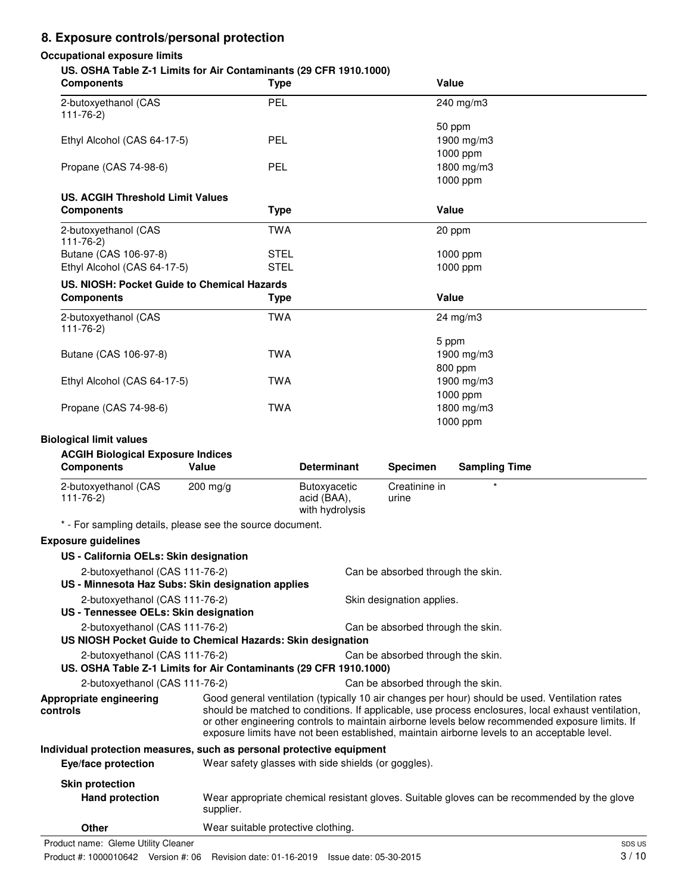## **8. Exposure controls/personal protection**

#### **Occupational exposure limits**

## **US. OSHA Table Z-1 Limits for Air Contaminants (29 CFR 1910.1000)**

| 00. 001 IA TRIVIC ETT EINING TOT AIT OUTKAITHIRING (29 OF IT T9T0.T000)<br><b>Components</b> | <b>Type</b> | Value      |  |  |
|----------------------------------------------------------------------------------------------|-------------|------------|--|--|
| 2-butoxyethanol (CAS<br>$111 - 76 - 2$                                                       | PEL         | 240 mg/m3  |  |  |
|                                                                                              |             | 50 ppm     |  |  |
| Ethyl Alcohol (CAS 64-17-5)                                                                  | PEL         | 1900 mg/m3 |  |  |
|                                                                                              |             | 1000 ppm   |  |  |
| Propane (CAS 74-98-6)                                                                        | PEL         | 1800 mg/m3 |  |  |
|                                                                                              |             | 1000 ppm   |  |  |
| <b>US. ACGIH Threshold Limit Values</b>                                                      |             |            |  |  |
| <b>Components</b>                                                                            | <b>Type</b> | Value      |  |  |
| 2-butoxyethanol (CAS<br>$111 - 76 - 2$                                                       | <b>TWA</b>  | 20 ppm     |  |  |
| Butane (CAS 106-97-8)                                                                        | <b>STEL</b> | 1000 ppm   |  |  |
| Ethyl Alcohol (CAS 64-17-5)                                                                  | <b>STEL</b> | 1000 ppm   |  |  |
| US. NIOSH: Pocket Guide to Chemical Hazards                                                  |             |            |  |  |
| <b>Components</b>                                                                            | <b>Type</b> | Value      |  |  |
| 2-butoxyethanol (CAS<br>$111 - 76 - 2$                                                       | <b>TWA</b>  | 24 mg/m3   |  |  |
|                                                                                              |             | 5 ppm      |  |  |
| Butane (CAS 106-97-8)                                                                        | <b>TWA</b>  | 1900 mg/m3 |  |  |
|                                                                                              |             | 800 ppm    |  |  |
| Ethyl Alcohol (CAS 64-17-5)                                                                  | <b>TWA</b>  | 1900 mg/m3 |  |  |
|                                                                                              |             | 1000 ppm   |  |  |
| Propane (CAS 74-98-6)                                                                        | <b>TWA</b>  | 1800 mg/m3 |  |  |
|                                                                                              |             | 1000 ppm   |  |  |

#### **Biological limit values**

#### **ACGIH Biological Exposure Indices**

| <b>Components</b>                      | Value              | <b>Determinant</b>                             | <b>Specimen</b>        | <b>Sampling Time</b> |
|----------------------------------------|--------------------|------------------------------------------------|------------------------|----------------------|
| 2-butoxyethanol (CAS<br>$111 - 76 - 2$ | $200 \text{ mg/g}$ | Butoxyacetic<br>acid (BAA),<br>with hydrolysis | Creatinine in<br>urine |                      |

\* - For sampling details, please see the source document.

## **Exposure guidelines**

| US - California OELs: Skin designation                                |                                    |                                                                                                                                                                                                                                                                                                                                                                                                        |
|-----------------------------------------------------------------------|------------------------------------|--------------------------------------------------------------------------------------------------------------------------------------------------------------------------------------------------------------------------------------------------------------------------------------------------------------------------------------------------------------------------------------------------------|
| 2-butoxyethanol (CAS 111-76-2)                                        |                                    | Can be absorbed through the skin.                                                                                                                                                                                                                                                                                                                                                                      |
| US - Minnesota Haz Subs: Skin designation applies                     |                                    |                                                                                                                                                                                                                                                                                                                                                                                                        |
| 2-butoxyethanol (CAS 111-76-2)                                        |                                    | Skin designation applies.                                                                                                                                                                                                                                                                                                                                                                              |
| US - Tennessee OELs: Skin designation                                 |                                    |                                                                                                                                                                                                                                                                                                                                                                                                        |
| 2-butoxyethanol (CAS 111-76-2)                                        |                                    | Can be absorbed through the skin.                                                                                                                                                                                                                                                                                                                                                                      |
| US NIOSH Pocket Guide to Chemical Hazards: Skin designation           |                                    |                                                                                                                                                                                                                                                                                                                                                                                                        |
| 2-butoxyethanol (CAS 111-76-2)                                        |                                    | Can be absorbed through the skin.                                                                                                                                                                                                                                                                                                                                                                      |
| US. OSHA Table Z-1 Limits for Air Contaminants (29 CFR 1910.1000)     |                                    |                                                                                                                                                                                                                                                                                                                                                                                                        |
| 2-butoxyethanol (CAS 111-76-2)                                        |                                    | Can be absorbed through the skin.                                                                                                                                                                                                                                                                                                                                                                      |
| Appropriate engineering<br>controls                                   |                                    | Good general ventilation (typically 10 air changes per hour) should be used. Ventilation rates<br>should be matched to conditions. If applicable, use process enclosures, local exhaust ventilation,<br>or other engineering controls to maintain airborne levels below recommended exposure limits. If<br>exposure limits have not been established, maintain airborne levels to an acceptable level. |
| Individual protection measures, such as personal protective equipment |                                    |                                                                                                                                                                                                                                                                                                                                                                                                        |
| Eye/face protection                                                   |                                    | Wear safety glasses with side shields (or goggles).                                                                                                                                                                                                                                                                                                                                                    |
| <b>Skin protection</b>                                                |                                    |                                                                                                                                                                                                                                                                                                                                                                                                        |
| <b>Hand protection</b>                                                | supplier.                          | Wear appropriate chemical resistant gloves. Suitable gloves can be recommended by the glove                                                                                                                                                                                                                                                                                                            |
| <b>Other</b>                                                          | Wear suitable protective clothing. |                                                                                                                                                                                                                                                                                                                                                                                                        |

Product name: Gleme Utility Cleaner Space Subsequent and the set of the set of the set of the set of the set of the set of the set of the set of the set of the set of the set of the set of the set of the set of the set of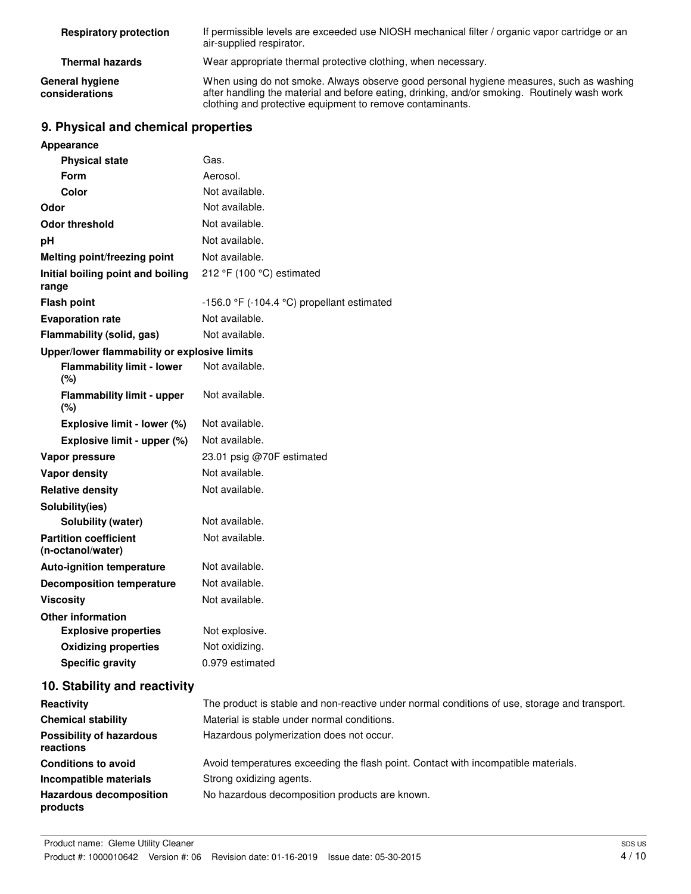| <b>Respiratory protection</b>     | If permissible levels are exceeded use NIOSH mechanical filter / organic vapor cartridge or an<br>air-supplied respirator.                                                                                                                           |
|-----------------------------------|------------------------------------------------------------------------------------------------------------------------------------------------------------------------------------------------------------------------------------------------------|
| <b>Thermal hazards</b>            | Wear appropriate thermal protective clothing, when necessary.                                                                                                                                                                                        |
| General hygiene<br>considerations | When using do not smoke. Always observe good personal hygiene measures, such as washing<br>after handling the material and before eating, drinking, and/or smoking. Routinely wash work<br>clothing and protective equipment to remove contaminants. |

## **9. Physical and chemical properties**

| Appearance                                        |                                            |
|---------------------------------------------------|--------------------------------------------|
| <b>Physical state</b>                             | Gas.                                       |
| Form                                              | Aerosol.                                   |
| Color                                             | Not available.                             |
| Odor                                              | Not available.                             |
| Odor threshold                                    | Not available.                             |
| рH                                                | Not available.                             |
| Melting point/freezing point                      | Not available.                             |
| Initial boiling point and boiling<br>range        | 212 °F (100 °C) estimated                  |
| <b>Flash point</b>                                | -156.0 °F (-104.4 °C) propellant estimated |
| <b>Evaporation rate</b>                           | Not available.                             |
| Flammability (solid, gas)                         | Not available.                             |
| Upper/lower flammability or explosive limits      |                                            |
| <b>Flammability limit - lower</b><br>(%)          | Not available.                             |
| <b>Flammability limit - upper</b><br>(%)          | Not available.                             |
| Explosive limit - lower (%)                       | Not available.                             |
| Explosive limit - upper (%)                       | Not available.                             |
| Vapor pressure                                    | 23.01 psig @70F estimated                  |
| Vapor density                                     | Not available.                             |
| <b>Relative density</b>                           | Not available.                             |
| Solubility(ies)                                   |                                            |
| Solubility (water)                                | Not available.                             |
| <b>Partition coefficient</b><br>(n-octanol/water) | Not available.                             |
| <b>Auto-ignition temperature</b>                  | Not available.                             |
| <b>Decomposition temperature</b>                  | Not available.                             |
| <b>Viscosity</b>                                  | Not available.                             |
| <b>Other information</b>                          |                                            |
| <b>Explosive properties</b>                       | Not explosive.                             |
| <b>Oxidizing properties</b>                       | Not oxidizing.                             |
| <b>Specific gravity</b>                           | 0.979 estimated                            |
| 10. Stability and reactivity                      |                                            |

| Reactivity                                   | The product is stable and non-reactive under normal conditions of use, storage and transport. |
|----------------------------------------------|-----------------------------------------------------------------------------------------------|
| <b>Chemical stability</b>                    | Material is stable under normal conditions.                                                   |
| <b>Possibility of hazardous</b><br>reactions | Hazardous polymerization does not occur.                                                      |
| <b>Conditions to avoid</b>                   | Avoid temperatures exceeding the flash point. Contact with incompatible materials.            |
| Incompatible materials                       | Strong oxidizing agents.                                                                      |
| <b>Hazardous decomposition</b><br>products   | No hazardous decomposition products are known.                                                |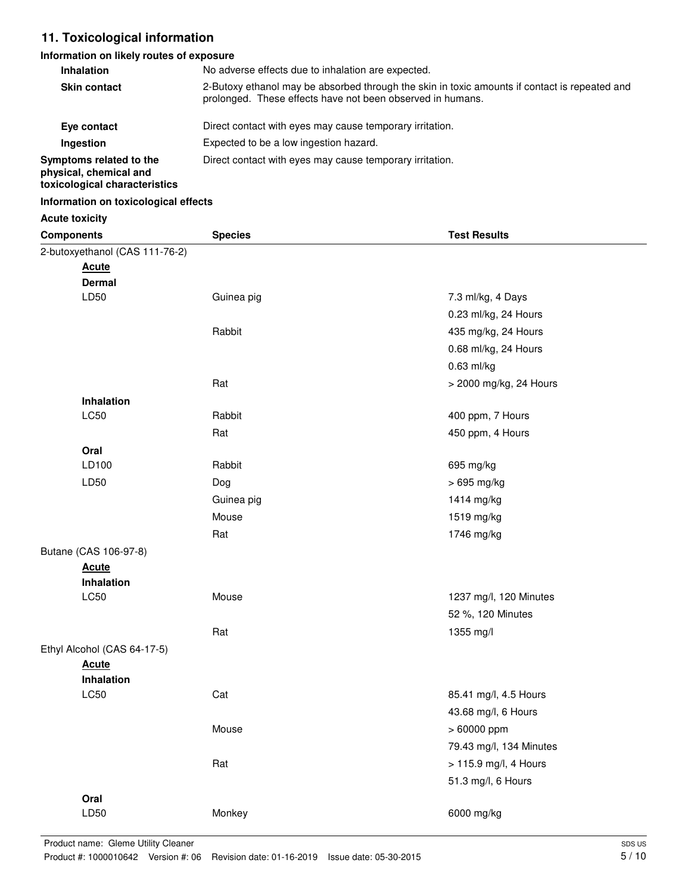## **11. Toxicological information**

#### **Information on likely routes of exposure**

| <b>Inhalation</b>                                                                  | No adverse effects due to inhalation are expected.                                                                                                          |  |  |  |
|------------------------------------------------------------------------------------|-------------------------------------------------------------------------------------------------------------------------------------------------------------|--|--|--|
| <b>Skin contact</b>                                                                | 2-Butoxy ethanol may be absorbed through the skin in toxic amounts if contact is repeated and<br>prolonged. These effects have not been observed in humans. |  |  |  |
| Eye contact                                                                        | Direct contact with eyes may cause temporary irritation.                                                                                                    |  |  |  |
| Ingestion                                                                          | Expected to be a low ingestion hazard.                                                                                                                      |  |  |  |
| Symptoms related to the<br>physical, chemical and<br>toxicological characteristics | Direct contact with eyes may cause temporary irritation.                                                                                                    |  |  |  |

#### **Information on toxicological effects**

| <b>Acute toxicity</b>          |                |                         |
|--------------------------------|----------------|-------------------------|
| <b>Components</b>              | <b>Species</b> | <b>Test Results</b>     |
| 2-butoxyethanol (CAS 111-76-2) |                |                         |
| <b>Acute</b>                   |                |                         |
| <b>Dermal</b>                  |                |                         |
| LD50                           | Guinea pig     | 7.3 ml/kg, 4 Days       |
|                                |                | 0.23 ml/kg, 24 Hours    |
|                                | Rabbit         | 435 mg/kg, 24 Hours     |
|                                |                | 0.68 ml/kg, 24 Hours    |
|                                |                | 0.63 ml/kg              |
|                                | Rat            | > 2000 mg/kg, 24 Hours  |
| Inhalation                     |                |                         |
| LC50                           | Rabbit         | 400 ppm, 7 Hours        |
|                                | Rat            | 450 ppm, 4 Hours        |
| Oral                           |                |                         |
| LD100                          | Rabbit         | 695 mg/kg               |
| LD50                           | Dog            | > 695 mg/kg             |
|                                | Guinea pig     | 1414 mg/kg              |
|                                | Mouse          | 1519 mg/kg              |
|                                | Rat            | 1746 mg/kg              |
| Butane (CAS 106-97-8)          |                |                         |
| <b>Acute</b>                   |                |                         |
| Inhalation                     |                |                         |
| LC50                           | Mouse          | 1237 mg/l, 120 Minutes  |
|                                |                | 52 %, 120 Minutes       |
|                                | Rat            | 1355 mg/l               |
| Ethyl Alcohol (CAS 64-17-5)    |                |                         |
| <b>Acute</b>                   |                |                         |
| <b>Inhalation</b>              |                |                         |
| LC50                           | Cat            | 85.41 mg/l, 4.5 Hours   |
|                                |                | 43.68 mg/l, 6 Hours     |
|                                | Mouse          | > 60000 ppm             |
|                                |                | 79.43 mg/l, 134 Minutes |
|                                | Rat            | > 115.9 mg/l, 4 Hours   |
|                                |                | 51.3 mg/l, 6 Hours      |
| Oral                           |                |                         |
| LD50                           | Monkey         | 6000 mg/kg              |
|                                |                |                         |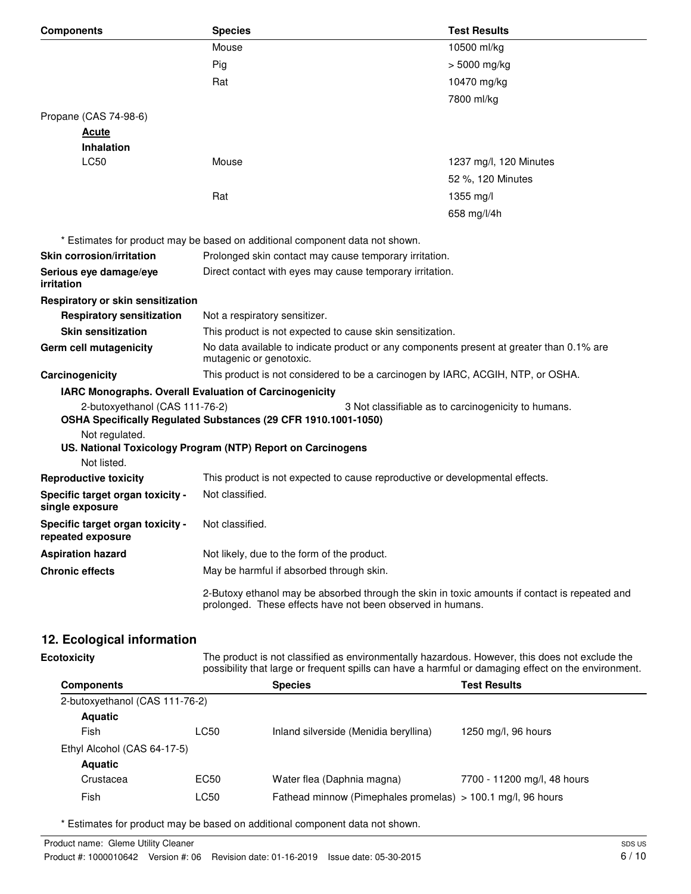| <b>Components</b>                                     | <b>Species</b>                                                                                                                                              | <b>Test Results</b>                                 |  |
|-------------------------------------------------------|-------------------------------------------------------------------------------------------------------------------------------------------------------------|-----------------------------------------------------|--|
|                                                       | Mouse                                                                                                                                                       | 10500 ml/kg                                         |  |
|                                                       | Pig                                                                                                                                                         | > 5000 mg/kg                                        |  |
|                                                       | Rat                                                                                                                                                         | 10470 mg/kg                                         |  |
|                                                       |                                                                                                                                                             | 7800 ml/kg                                          |  |
| Propane (CAS 74-98-6)                                 |                                                                                                                                                             |                                                     |  |
| <u>Acute</u>                                          |                                                                                                                                                             |                                                     |  |
| <b>Inhalation</b>                                     |                                                                                                                                                             |                                                     |  |
| <b>LC50</b>                                           | Mouse                                                                                                                                                       | 1237 mg/l, 120 Minutes                              |  |
|                                                       |                                                                                                                                                             | 52 %, 120 Minutes                                   |  |
|                                                       | Rat                                                                                                                                                         | $1355$ mg/l                                         |  |
|                                                       |                                                                                                                                                             | 658 mg/l/4h                                         |  |
|                                                       | * Estimates for product may be based on additional component data not shown.                                                                                |                                                     |  |
| <b>Skin corrosion/irritation</b>                      | Prolonged skin contact may cause temporary irritation.                                                                                                      |                                                     |  |
| Serious eye damage/eye<br>irritation                  | Direct contact with eyes may cause temporary irritation.                                                                                                    |                                                     |  |
| Respiratory or skin sensitization                     |                                                                                                                                                             |                                                     |  |
| <b>Respiratory sensitization</b>                      | Not a respiratory sensitizer.                                                                                                                               |                                                     |  |
| <b>Skin sensitization</b>                             | This product is not expected to cause skin sensitization.                                                                                                   |                                                     |  |
| Germ cell mutagenicity                                | No data available to indicate product or any components present at greater than 0.1% are<br>mutagenic or genotoxic.                                         |                                                     |  |
| Carcinogenicity                                       | This product is not considered to be a carcinogen by IARC, ACGIH, NTP, or OSHA.                                                                             |                                                     |  |
|                                                       | IARC Monographs. Overall Evaluation of Carcinogenicity                                                                                                      |                                                     |  |
| 2-butoxyethanol (CAS 111-76-2)                        | OSHA Specifically Regulated Substances (29 CFR 1910.1001-1050)                                                                                              | 3 Not classifiable as to carcinogenicity to humans. |  |
| Not regulated.                                        |                                                                                                                                                             |                                                     |  |
| Not listed.                                           | US. National Toxicology Program (NTP) Report on Carcinogens                                                                                                 |                                                     |  |
| <b>Reproductive toxicity</b>                          | This product is not expected to cause reproductive or developmental effects.                                                                                |                                                     |  |
| Specific target organ toxicity -                      | Not classified.                                                                                                                                             |                                                     |  |
| single exposure                                       |                                                                                                                                                             |                                                     |  |
| Specific target organ toxicity -<br>repeated exposure | Not classified.                                                                                                                                             |                                                     |  |
| <b>Aspiration hazard</b>                              | Not likely, due to the form of the product.                                                                                                                 |                                                     |  |
| <b>Chronic effects</b>                                | May be harmful if absorbed through skin.                                                                                                                    |                                                     |  |
|                                                       | 2-Butoxy ethanol may be absorbed through the skin in toxic amounts if contact is repeated and<br>prolonged. These effects have not been observed in humans. |                                                     |  |

# **12. Ecological information**

| <b>Ecotoxicity</b>             | The product is not classified as environmentally hazardous. However, this does not exclude the<br>possibility that large or frequent spills can have a harmful or damaging effect on the environment. |                                                             |                             |  |
|--------------------------------|-------------------------------------------------------------------------------------------------------------------------------------------------------------------------------------------------------|-------------------------------------------------------------|-----------------------------|--|
| <b>Components</b>              |                                                                                                                                                                                                       | <b>Species</b>                                              | <b>Test Results</b>         |  |
| 2-butoxyethanol (CAS 111-76-2) |                                                                                                                                                                                                       |                                                             |                             |  |
| <b>Aquatic</b>                 |                                                                                                                                                                                                       |                                                             |                             |  |
| Fish                           | LC50                                                                                                                                                                                                  | Inland silverside (Menidia beryllina)                       | 1250 mg/l, 96 hours         |  |
| Ethyl Alcohol (CAS 64-17-5)    |                                                                                                                                                                                                       |                                                             |                             |  |
| <b>Aquatic</b>                 |                                                                                                                                                                                                       |                                                             |                             |  |
| Crustacea                      | EC50                                                                                                                                                                                                  | Water flea (Daphnia magna)                                  | 7700 - 11200 mg/l, 48 hours |  |
| Fish                           | LC50                                                                                                                                                                                                  | Fathead minnow (Pimephales promelas) > 100.1 mg/l, 96 hours |                             |  |

\* Estimates for product may be based on additional component data not shown.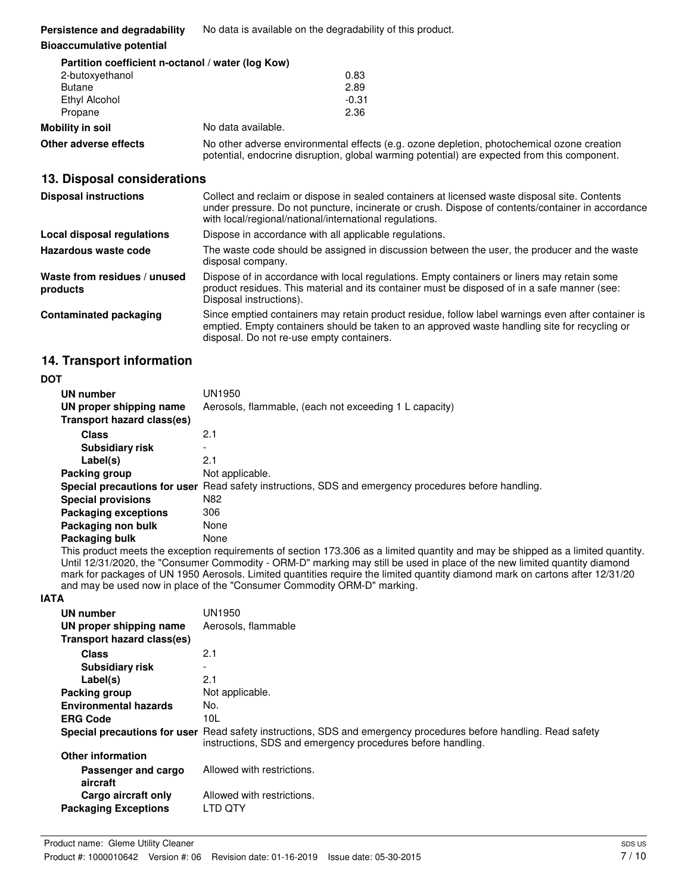**Persistence and degradability** No data is available on the degradability of this product.

#### **Bioaccumulative potential**

**Other adverse effects** 

|                  | Partition coefficient n-octanol / water (log Kow) |         |  |
|------------------|---------------------------------------------------|---------|--|
| 2-butoxyethanol  |                                                   | 0.83    |  |
| <b>Butane</b>    |                                                   | 2.89    |  |
| Ethyl Alcohol    |                                                   | $-0.31$ |  |
| Propane          |                                                   | 2.36    |  |
| Mobility in soil | No data available.                                |         |  |

 potential, endocrine disruption, global warming potential) are expected from this component. No other adverse environmental effects (e.g. ozone depletion, photochemical ozone creation

## **13. Disposal considerations**

| <b>Disposal instructions</b>             | Collect and reclaim or dispose in sealed containers at licensed waste disposal site. Contents<br>under pressure. Do not puncture, incinerate or crush. Dispose of contents/container in accordance<br>with local/regional/national/international regulations. |
|------------------------------------------|---------------------------------------------------------------------------------------------------------------------------------------------------------------------------------------------------------------------------------------------------------------|
| Local disposal regulations               | Dispose in accordance with all applicable regulations.                                                                                                                                                                                                        |
| Hazardous waste code                     | The waste code should be assigned in discussion between the user, the producer and the waste<br>disposal company.                                                                                                                                             |
| Waste from residues / unused<br>products | Dispose of in accordance with local regulations. Empty containers or liners may retain some<br>product residues. This material and its container must be disposed of in a safe manner (see:<br>Disposal instructions).                                        |
| Contaminated packaging                   | Since emptied containers may retain product residue, follow label warnings even after container is<br>emptied. Empty containers should be taken to an approved waste handling site for recycling or<br>disposal. Do not re-use empty containers.              |

## **14. Transport information**

#### **DOT**

| UN number<br>UN proper shipping name | UN1950<br>Aerosols, flammable, (each not exceeding 1 L capacity)                                     |
|--------------------------------------|------------------------------------------------------------------------------------------------------|
| Transport hazard class(es)           |                                                                                                      |
| <b>Class</b>                         | 2.1                                                                                                  |
| <b>Subsidiary risk</b>               |                                                                                                      |
| Label(s)                             | 2.1                                                                                                  |
| Packing group                        | Not applicable.                                                                                      |
|                                      | Special precautions for user Read safety instructions, SDS and emergency procedures before handling. |
| <b>Special provisions</b>            | N82                                                                                                  |
| <b>Packaging exceptions</b>          | 306                                                                                                  |
| Packaging non bulk                   | None                                                                                                 |
| Packaging bulk                       | None                                                                                                 |

 Until 12/31/2020, the "Consumer Commodity - ORM-D" marking may still be used in place of the new limited quantity diamond mark for packages of UN 1950 Aerosols. Limited quantities require the limited quantity diamond mark on cartons after 12/31/20 and may be used now in place of the "Consumer Commodity ORM-D" marking. This product meets the exception requirements of section 173.306 as a limited quantity and may be shipped as a limited quantity.

#### **IATA**

| UN number                       | UN1950                                                                                                                                                                          |
|---------------------------------|---------------------------------------------------------------------------------------------------------------------------------------------------------------------------------|
| UN proper shipping name         | Aerosols, flammable                                                                                                                                                             |
| Transport hazard class(es)      |                                                                                                                                                                                 |
| <b>Class</b>                    | 2.1                                                                                                                                                                             |
| <b>Subsidiary risk</b>          |                                                                                                                                                                                 |
| Label(s)                        | 2.1                                                                                                                                                                             |
| Packing group                   | Not applicable.                                                                                                                                                                 |
| <b>Environmental hazards</b>    | No.                                                                                                                                                                             |
| <b>ERG Code</b>                 | 10L                                                                                                                                                                             |
|                                 | Special precautions for user Read safety instructions, SDS and emergency procedures before handling. Read safety<br>instructions, SDS and emergency procedures before handling. |
| <b>Other information</b>        |                                                                                                                                                                                 |
| Passenger and cargo<br>aircraft | Allowed with restrictions.                                                                                                                                                      |
| Cargo aircraft only             | Allowed with restrictions.                                                                                                                                                      |
| <b>Packaging Exceptions</b>     | LTD QTY                                                                                                                                                                         |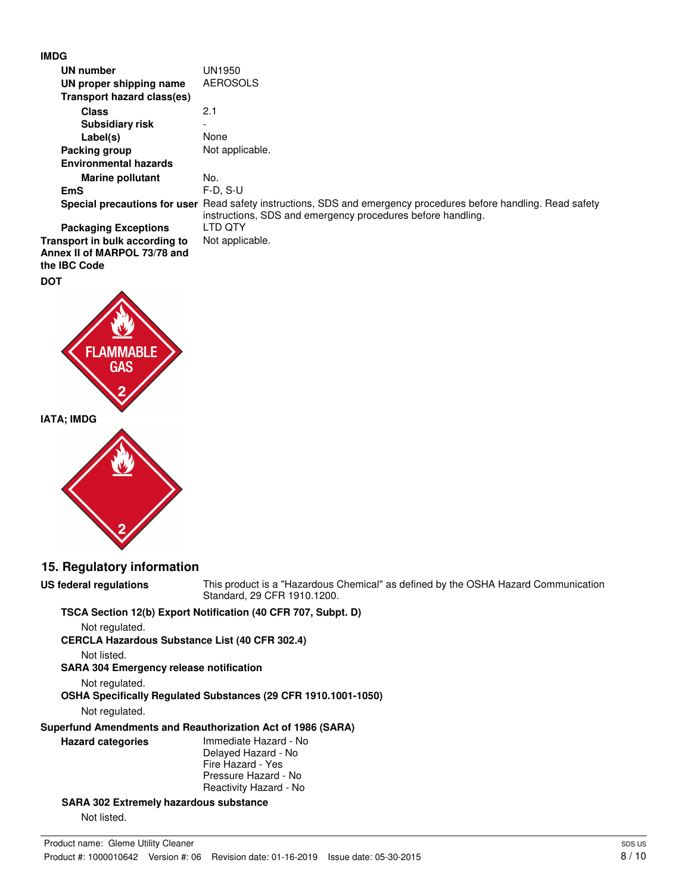

| UN number                                                                      | UN1950                                                                                                                                             |
|--------------------------------------------------------------------------------|----------------------------------------------------------------------------------------------------------------------------------------------------|
| UN proper shipping name                                                        | <b>AEROSOLS</b>                                                                                                                                    |
| Transport hazard class(es)                                                     |                                                                                                                                                    |
| <b>Class</b>                                                                   | 2.1                                                                                                                                                |
| <b>Subsidiary risk</b>                                                         |                                                                                                                                                    |
| Label(s)                                                                       | None                                                                                                                                               |
| Packing group                                                                  | Not applicable.                                                                                                                                    |
| <b>Environmental hazards</b>                                                   |                                                                                                                                                    |
| <b>Marine pollutant</b>                                                        | No.                                                                                                                                                |
| <b>EmS</b>                                                                     | $F-D, S-U$                                                                                                                                         |
| Special precautions for user                                                   | Read safety instructions, SDS and emergency procedures before handling. Read safety<br>instructions, SDS and emergency procedures before handling. |
| <b>Packaging Exceptions</b>                                                    | LTD QTY                                                                                                                                            |
| Transport in bulk according to<br>Annex II of MARPOL 73/78 and<br>the IBC Code | Not applicable.                                                                                                                                    |
| <b>DOT</b>                                                                     |                                                                                                                                                    |

**IATA; IMDG** 



GAS

## **15. Regulatory information**

 **US federal regulations** This product is a "Hazardous Chemical" as defined by the OSHA Hazard Communication Standard, 29 CFR 1910.1200.

#### **TSCA Section 12(b) Export Notification (40 CFR 707, Subpt. D)**

 **CERCLA Hazardous Substance List (40 CFR 302.4)**  Not regulated.

Not listed.

**US federal regulations** 

 **SARA 304 Emergency release notification** 

Not regulated.

 **OSHA Specifically Regulated Substances (29 CFR 1910.1001-1050)** 

Not regulated.

 **Superfund Amendments and Reauthorization Act of 1986 (SARA)** 

 **Hazard categories** Immediate Hazard - No Delayed Hazard - No Fire Hazard - Yes Pressure Hazard - No Reactivity Hazard - No

 **SARA 302 Extremely hazardous substance** 

Not listed.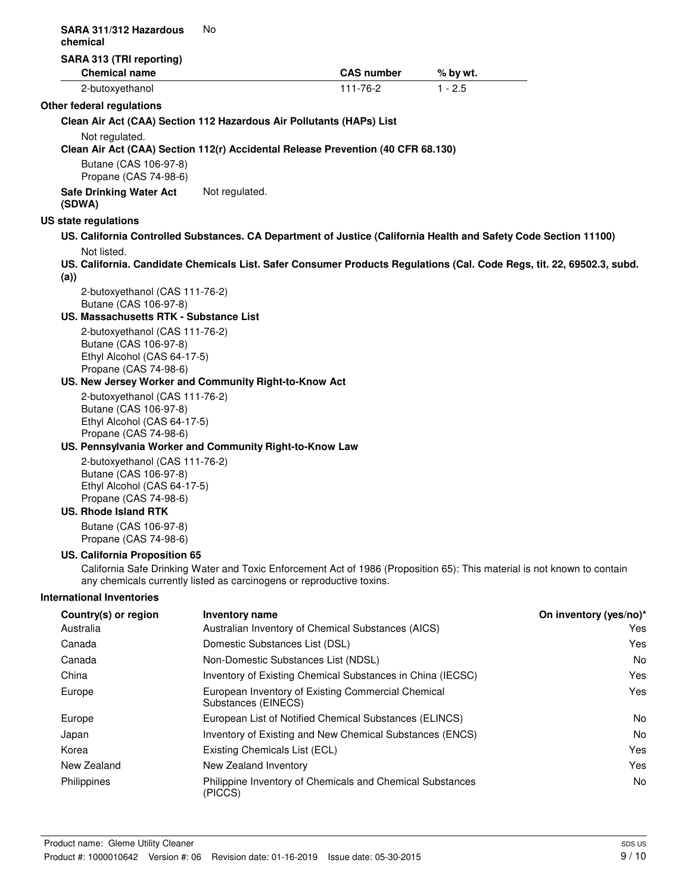| SARA 311/312 Hazardous<br>chemical                                                                                                                                         | No                             |                                                                                                                          |           |                        |
|----------------------------------------------------------------------------------------------------------------------------------------------------------------------------|--------------------------------|--------------------------------------------------------------------------------------------------------------------------|-----------|------------------------|
| SARA 313 (TRI reporting)                                                                                                                                                   |                                |                                                                                                                          |           |                        |
| <b>Chemical name</b>                                                                                                                                                       |                                | <b>CAS number</b>                                                                                                        | % by wt.  |                        |
| 2-butoxyethanol                                                                                                                                                            |                                | $111 - 76 - 2$                                                                                                           | $1 - 2.5$ |                        |
| Other federal regulations                                                                                                                                                  |                                |                                                                                                                          |           |                        |
| Clean Air Act (CAA) Section 112 Hazardous Air Pollutants (HAPs) List                                                                                                       |                                |                                                                                                                          |           |                        |
| Not regulated.                                                                                                                                                             |                                | Clean Air Act (CAA) Section 112(r) Accidental Release Prevention (40 CFR 68.130)                                         |           |                        |
| Butane (CAS 106-97-8)<br>Propane (CAS 74-98-6)                                                                                                                             |                                |                                                                                                                          |           |                        |
| <b>Safe Drinking Water Act</b><br>(SDWA)                                                                                                                                   | Not regulated.                 |                                                                                                                          |           |                        |
| US state regulations                                                                                                                                                       |                                |                                                                                                                          |           |                        |
|                                                                                                                                                                            |                                | US. California Controlled Substances. CA Department of Justice (California Health and Safety Code Section 11100)         |           |                        |
| Not listed.<br>(a))                                                                                                                                                        |                                | US. California. Candidate Chemicals List. Safer Consumer Products Regulations (Cal. Code Regs, tit. 22, 69502.3, subd.   |           |                        |
| 2-butoxyethanol (CAS 111-76-2)<br>Butane (CAS 106-97-8)<br>US. Massachusetts RTK - Substance List                                                                          |                                |                                                                                                                          |           |                        |
| 2-butoxyethanol (CAS 111-76-2)<br>Butane (CAS 106-97-8)<br>Ethyl Alcohol (CAS 64-17-5)<br>Propane (CAS 74-98-6)<br>US. New Jersey Worker and Community Right-to-Know Act   |                                |                                                                                                                          |           |                        |
| 2-butoxyethanol (CAS 111-76-2)<br>Butane (CAS 106-97-8)<br>Ethyl Alcohol (CAS 64-17-5)<br>Propane (CAS 74-98-6)<br>US. Pennsylvania Worker and Community Right-to-Know Law |                                |                                                                                                                          |           |                        |
| 2-butoxyethanol (CAS 111-76-2)<br>Butane (CAS 106-97-8)<br>Ethyl Alcohol (CAS 64-17-5)<br>Propane (CAS 74-98-6)<br><b>US. Rhode Island RTK</b>                             |                                |                                                                                                                          |           |                        |
| Butane (CAS 106-97-8)<br>Propane (CAS 74-98-6)                                                                                                                             |                                |                                                                                                                          |           |                        |
| US. California Proposition 65<br>any chemicals currently listed as carcinogens or reproductive toxins.                                                                     |                                | California Safe Drinking Water and Toxic Enforcement Act of 1986 (Proposition 65): This material is not known to contain |           |                        |
| <b>International Inventories</b>                                                                                                                                           |                                |                                                                                                                          |           |                        |
| Country(s) or region                                                                                                                                                       | <b>Inventory name</b>          |                                                                                                                          |           | On inventory (yes/no)* |
| Australia                                                                                                                                                                  |                                | Australian Inventory of Chemical Substances (AICS)                                                                       |           | Yes                    |
| Canada                                                                                                                                                                     | Domestic Substances List (DSL) |                                                                                                                          |           | Yes                    |
| Canada                                                                                                                                                                     |                                | Non-Domestic Substances List (NDSL)                                                                                      |           | No                     |
| China                                                                                                                                                                      |                                | Inventory of Existing Chemical Substances in China (IECSC)                                                               |           | Yes                    |
| Europe                                                                                                                                                                     | Substances (EINECS)            | European Inventory of Existing Commercial Chemical                                                                       |           | Yes                    |
| Europe                                                                                                                                                                     |                                | European List of Notified Chemical Substances (ELINCS)                                                                   |           | No                     |
| Japan                                                                                                                                                                      |                                | Inventory of Existing and New Chemical Substances (ENCS)                                                                 |           | No.                    |
| Korea                                                                                                                                                                      | Existing Chemicals List (ECL)  |                                                                                                                          |           | Yes                    |
| New Zealand                                                                                                                                                                | New Zealand Inventory          |                                                                                                                          |           | Yes                    |
| Philippines                                                                                                                                                                | (PICCS)                        | Philippine Inventory of Chemicals and Chemical Substances                                                                |           | No                     |